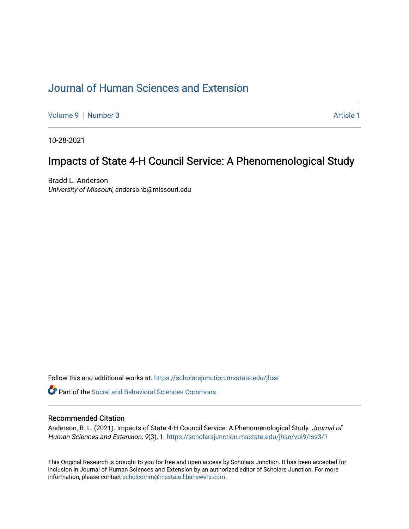# [Journal of Human Sciences and Extension](https://scholarsjunction.msstate.edu/jhse)

[Volume 9](https://scholarsjunction.msstate.edu/jhse/vol9) | [Number 3](https://scholarsjunction.msstate.edu/jhse/vol9/iss3) Article 1

10-28-2021

# Impacts of State 4-H Council Service: A Phenomenological Study

Bradd L. Anderson University of Missouri, andersonb@missouri.edu

Follow this and additional works at: [https://scholarsjunction.msstate.edu/jhse](https://scholarsjunction.msstate.edu/jhse?utm_source=scholarsjunction.msstate.edu%2Fjhse%2Fvol9%2Fiss3%2F1&utm_medium=PDF&utm_campaign=PDFCoverPages)

**C** Part of the Social and Behavioral Sciences Commons

### Recommended Citation

Anderson, B. L. (2021). Impacts of State 4-H Council Service: A Phenomenological Study. Journal of Human Sciences and Extension, 9(3), 1. [https://scholarsjunction.msstate.edu/jhse/vol9/iss3/1](https://scholarsjunction.msstate.edu/jhse/vol9/iss3/1?utm_source=scholarsjunction.msstate.edu%2Fjhse%2Fvol9%2Fiss3%2F1&utm_medium=PDF&utm_campaign=PDFCoverPages)

This Original Research is brought to you for free and open access by Scholars Junction. It has been accepted for inclusion in Journal of Human Sciences and Extension by an authorized editor of Scholars Junction. For more information, please contact [scholcomm@msstate.libanswers.com](mailto:scholcomm@msstate.libanswers.com).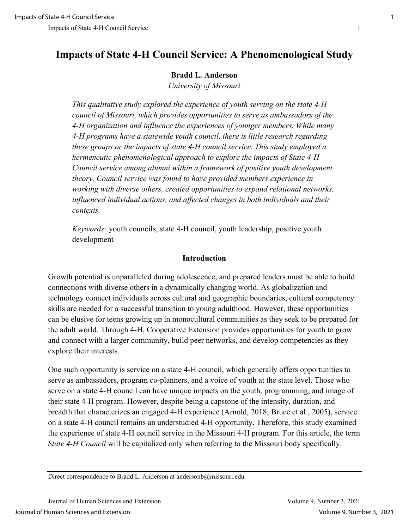# **Impacts of State 4-H Council Service: A Phenomenological Study**

### **Bradd L. Anderson**

*University of Missouri*

*This qualitative study explored the experience of youth serving on the state 4-H council of Missouri, which provides opportunities to serve as ambassadors of the 4-H organization and influence the experiences of younger members. While many 4-H programs have a statewide youth council, there is little research regarding these groups or the impacts of state 4-H council service. This study employed a hermeneutic phenomenological approach to explore the impacts of State 4-H Council service among alumni within a framework of positive youth development theory. Council service was found to have provided members experience in working with diverse others, created opportunities to expand relational networks, influenced individual actions, and affected changes in both individuals and their contexts.* 

*Keywords:* youth councils, state 4-H council, youth leadership, positive youth development

### **Introduction**

Growth potential is unparalleled during adolescence, and prepared leaders must be able to build connections with diverse others in a dynamically changing world. As globalization and technology connect individuals across cultural and geographic boundaries, cultural competency skills are needed for a successful transition to young adulthood. However, these opportunities can be elusive for teens growing up in monocultural communities as they seek to be prepared for the adult world. Through 4-H, Cooperative Extension provides opportunities for youth to grow and connect with a larger community, build peer networks, and develop competencies as they explore their interests.

One such opportunity is service on a state 4-H council, which generally offers opportunities to serve as ambassadors, program co-planners, and a voice of youth at the state level. Those who serve on a state 4-H council can have unique impacts on the youth, programming, and image of their state 4-H program. However, despite being a capstone of the intensity, duration, and breadth that characterizes an engaged 4-H experience (Arnold, 2018; Bruce et al., 2005), service on a state 4-H council remains an understudied 4-H opportunity. Therefore, this study examined the experience of state 4-H council service in the Missouri 4-H program. For this article, the term *State 4-H Council* will be capitalized only when referring to the Missouri body specifically.

Direct correspondence to Bradd L. Anderson at andersonb@missouri.edu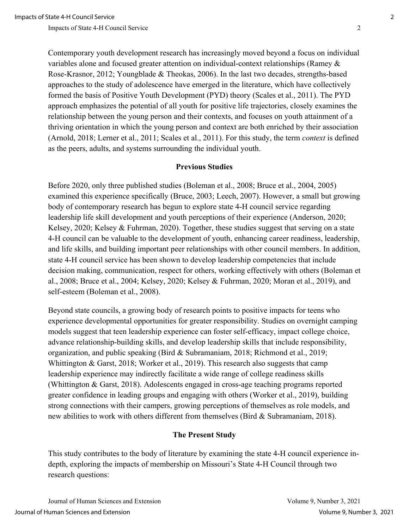Contemporary youth development research has increasingly moved beyond a focus on individual variables alone and focused greater attention on individual-context relationships (Ramey & Rose-Krasnor, 2012; Youngblade & Theokas, 2006). In the last two decades, strengths-based approaches to the study of adolescence have emerged in the literature, which have collectively formed the basis of Positive Youth Development (PYD) theory (Scales et al., 2011). The PYD approach emphasizes the potential of all youth for positive life trajectories, closely examines the relationship between the young person and their contexts, and focuses on youth attainment of a thriving orientation in which the young person and context are both enriched by their association (Arnold, 2018; Lerner et al., 2011; Scales et al., 2011). For this study, the term *context* is defined as the peers, adults, and systems surrounding the individual youth.

### **Previous Studies**

Before 2020, only three published studies (Boleman et al., 2008; Bruce et al., 2004, 2005) examined this experience specifically (Bruce, 2003; Leech, 2007). However, a small but growing body of contemporary research has begun to explore state 4-H council service regarding leadership life skill development and youth perceptions of their experience (Anderson, 2020; Kelsey, 2020; Kelsey & Fuhrman, 2020). Together, these studies suggest that serving on a state 4-H council can be valuable to the development of youth, enhancing career readiness, leadership, and life skills, and building important peer relationships with other council members. In addition, state 4-H council service has been shown to develop leadership competencies that include decision making, communication, respect for others, working effectively with others (Boleman et al., 2008; Bruce et al., 2004; Kelsey, 2020; Kelsey & Fuhrman, 2020; Moran et al., 2019), and self-esteem (Boleman et al., 2008).

Beyond state councils, a growing body of research points to positive impacts for teens who experience developmental opportunities for greater responsibility. Studies on overnight camping models suggest that teen leadership experience can foster self-efficacy, impact college choice, advance relationship-building skills, and develop leadership skills that include responsibility, organization, and public speaking (Bird & Subramaniam, 2018; Richmond et al., 2019; Whittington & Garst, 2018; Worker et al., 2019). This research also suggests that camp leadership experience may indirectly facilitate a wide range of college readiness skills (Whittington & Garst, 2018). Adolescents engaged in cross-age teaching programs reported greater confidence in leading groups and engaging with others (Worker et al., 2019), building strong connections with their campers, growing perceptions of themselves as role models, and new abilities to work with others different from themselves (Bird & Subramaniam, 2018).

#### **The Present Study**

This study contributes to the body of literature by examining the state 4-H council experience indepth, exploring the impacts of membership on Missouri's State 4-H Council through two research questions:

Journal of Human Sciences and Extension Volume 9, Number 3, 2021 Journal of Human Sciences and Extension Volume 9, Number 3, 2021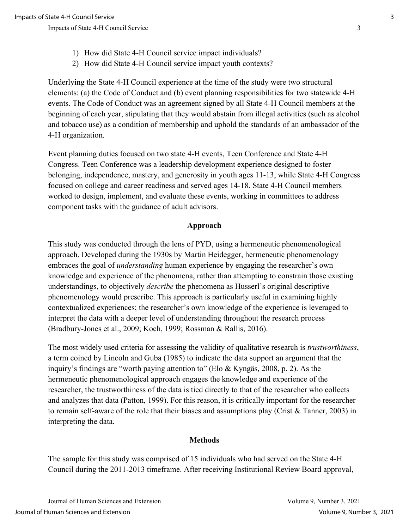- 1) How did State 4-H Council service impact individuals?
- 2) How did State 4-H Council service impact youth contexts?

Underlying the State 4-H Council experience at the time of the study were two structural elements: (a) the Code of Conduct and (b) event planning responsibilities for two statewide 4-H events. The Code of Conduct was an agreement signed by all State 4-H Council members at the beginning of each year, stipulating that they would abstain from illegal activities (such as alcohol and tobacco use) as a condition of membership and uphold the standards of an ambassador of the 4-H organization.

Event planning duties focused on two state 4-H events, Teen Conference and State 4-H Congress. Teen Conference was a leadership development experience designed to foster belonging, independence, mastery, and generosity in youth ages 11-13, while State 4-H Congress focused on college and career readiness and served ages 14-18. State 4-H Council members worked to design, implement, and evaluate these events, working in committees to address component tasks with the guidance of adult advisors.

#### **Approach**

This study was conducted through the lens of PYD, using a hermeneutic phenomenological approach. Developed during the 1930s by Martin Heidegger, hermeneutic phenomenology embraces the goal of *understanding* human experience by engaging the researcher's own knowledge and experience of the phenomena, rather than attempting to constrain those existing understandings, to objectively *describe* the phenomena as Husserl's original descriptive phenomenology would prescribe. This approach is particularly useful in examining highly contextualized experiences; the researcher's own knowledge of the experience is leveraged to interpret the data with a deeper level of understanding throughout the research process (Bradbury-Jones et al., 2009; Koch, 1999; Rossman & Rallis, 2016).

The most widely used criteria for assessing the validity of qualitative research is *trustworthiness*, a term coined by Lincoln and Guba (1985) to indicate the data support an argument that the inquiry's findings are "worth paying attention to" (Elo & Kyngäs, 2008, p. 2). As the hermeneutic phenomenological approach engages the knowledge and experience of the researcher, the trustworthiness of the data is tied directly to that of the researcher who collects and analyzes that data (Patton, 1999). For this reason, it is critically important for the researcher to remain self-aware of the role that their biases and assumptions play (Crist & Tanner, 2003) in interpreting the data.

### **Methods**

The sample for this study was comprised of 15 individuals who had served on the State 4-H Council during the 2011-2013 timeframe. After receiving Institutional Review Board approval,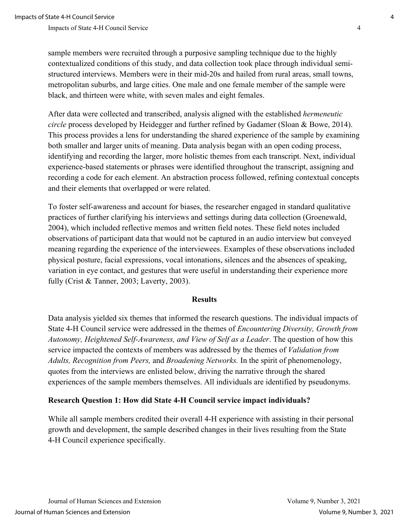sample members were recruited through a purposive sampling technique due to the highly contextualized conditions of this study, and data collection took place through individual semistructured interviews. Members were in their mid-20s and hailed from rural areas, small towns, metropolitan suburbs, and large cities. One male and one female member of the sample were black, and thirteen were white, with seven males and eight females.

After data were collected and transcribed, analysis aligned with the established *hermeneutic circle* process developed by Heidegger and further refined by Gadamer (Sloan & Bowe, 2014). This process provides a lens for understanding the shared experience of the sample by examining both smaller and larger units of meaning. Data analysis began with an open coding process, identifying and recording the larger, more holistic themes from each transcript. Next, individual experience-based statements or phrases were identified throughout the transcript, assigning and recording a code for each element. An abstraction process followed, refining contextual concepts and their elements that overlapped or were related.

To foster self-awareness and account for biases, the researcher engaged in standard qualitative practices of further clarifying his interviews and settings during data collection (Groenewald, 2004), which included reflective memos and written field notes. These field notes included observations of participant data that would not be captured in an audio interview but conveyed meaning regarding the experience of the interviewees. Examples of these observations included physical posture, facial expressions, vocal intonations, silences and the absences of speaking, variation in eye contact, and gestures that were useful in understanding their experience more fully (Crist & Tanner, 2003; Laverty, 2003).

#### **Results**

Data analysis yielded six themes that informed the research questions. The individual impacts of State 4-H Council service were addressed in the themes of *Encountering Diversity, Growth from Autonomy, Heightened Self-Awareness, and View of Self as a Leader*. The question of how this service impacted the contexts of members was addressed by the themes of *Validation from Adults, Recognition from Peers,* and *Broadening Networks.* In the spirit of phenomenology, quotes from the interviews are enlisted below, driving the narrative through the shared experiences of the sample members themselves. All individuals are identified by pseudonyms.

### **Research Question 1: How did State 4-H Council service impact individuals?**

While all sample members credited their overall 4-H experience with assisting in their personal growth and development, the sample described changes in their lives resulting from the State 4-H Council experience specifically.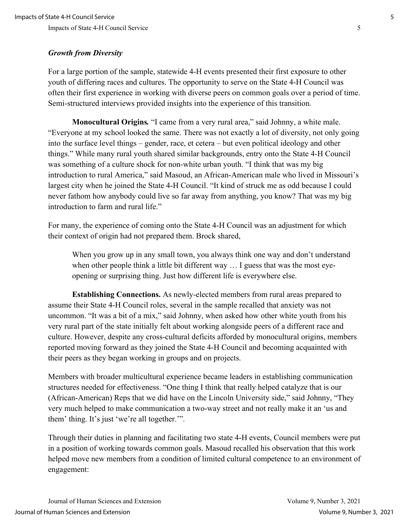# *Growth from Diversity*

For a large portion of the sample, statewide 4-H events presented their first exposure to other youth of differing races and cultures. The opportunity to serve on the State 4-H Council was often their first experience in working with diverse peers on common goals over a period of time. Semi-structured interviews provided insights into the experience of this transition.

**Monocultural Origins***.* "I came from a very rural area," said Johnny, a white male. "Everyone at my school looked the same. There was not exactly a lot of diversity, not only going into the surface level things – gender, race, et cetera – but even political ideology and other things." While many rural youth shared similar backgrounds, entry onto the State 4-H Council was something of a culture shock for non-white urban youth. "I think that was my big introduction to rural America," said Masoud, an African-American male who lived in Missouri's largest city when he joined the State 4-H Council. "It kind of struck me as odd because I could never fathom how anybody could live so far away from anything, you know? That was my big introduction to farm and rural life."

For many, the experience of coming onto the State 4-H Council was an adjustment for which their context of origin had not prepared them. Brock shared,

When you grow up in any small town, you always think one way and don't understand when other people think a little bit different way ... I guess that was the most eyeopening or surprising thing. Just how different life is everywhere else.

**Establishing Connections.** As newly-elected members from rural areas prepared to assume their State 4-H Council roles, several in the sample recalled that anxiety was not uncommon. "It was a bit of a mix," said Johnny, when asked how other white youth from his very rural part of the state initially felt about working alongside peers of a different race and culture. However, despite any cross-cultural deficits afforded by monocultural origins, members reported moving forward as they joined the State 4-H Council and becoming acquainted with their peers as they began working in groups and on projects.

Members with broader multicultural experience became leaders in establishing communication structures needed for effectiveness. "One thing I think that really helped catalyze that is our (African-American) Reps that we did have on the Lincoln University side," said Johnny, "They very much helped to make communication a two-way street and not really make it an 'us and them' thing. It's just 'we're all together.'".

Through their duties in planning and facilitating two state 4-H events, Council members were put in a position of working towards common goals. Masoud recalled his observation that this work helped move new members from a condition of limited cultural competence to an environment of engagement: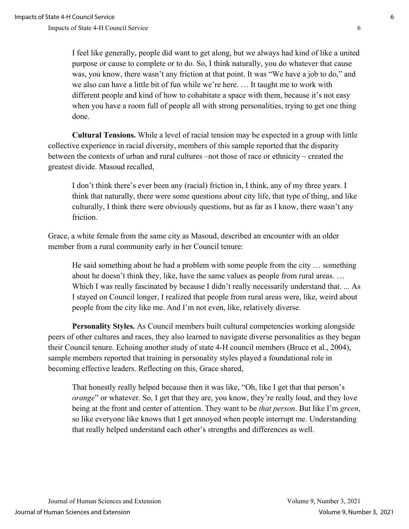I feel like generally, people did want to get along, but we always had kind of like a united purpose or cause to complete or to do. So, I think naturally, you do whatever that cause was, you know, there wasn't any friction at that point. It was "We have a job to do," and we also can have a little bit of fun while we're here. … It taught me to work with different people and kind of how to cohabitate a space with them, because it's not easy when you have a room full of people all with strong personalities, trying to get one thing done.

**Cultural Tensions.** While a level of racial tension may be expected in a group with little collective experience in racial diversity, members of this sample reported that the disparity between the contexts of urban and rural cultures –not those of race or ethnicity – created the greatest divide. Masoud recalled,

I don't think there's ever been any (racial) friction in, I think, any of my three years. I think that naturally, there were some questions about city life, that type of thing, and like culturally, I think there were obviously questions, but as far as I know, there wasn't any friction.

Grace, a white female from the same city as Masoud, described an encounter with an older member from a rural community early in her Council tenure:

He said something about he had a problem with some people from the city … something about he doesn't think they, like, have the same values as people from rural areas. … Which I was really fascinated by because I didn't really necessarily understand that. ... As I stayed on Council longer, I realized that people from rural areas were, like, weird about people from the city like me. And I'm not even, like, relatively diverse.

**Personality Styles.** As Council members built cultural competencies working alongside peers of other cultures and races, they also learned to navigate diverse personalities as they began their Council tenure. Echoing another study of state 4-H council members (Bruce et al., 2004), sample members reported that training in personality styles played a foundational role in becoming effective leaders. Reflecting on this, Grace shared,

That honestly really helped because then it was like, "Oh, like I get that that person's *orange*" or whatever. So, I get that they are, you know, they're really loud, and they love being at the front and center of attention. They want to be *that person*. But like I'm *green*, so like everyone like knows that I get annoyed when people interrupt me. Understanding that really helped understand each other's strengths and differences as well.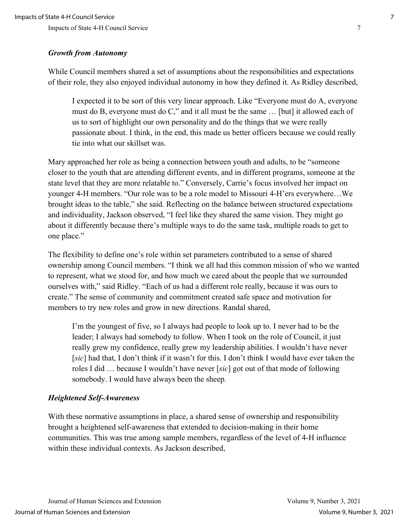## *Growth from Autonomy*

While Council members shared a set of assumptions about the responsibilities and expectations of their role, they also enjoyed individual autonomy in how they defined it. As Ridley described,

I expected it to be sort of this very linear approach. Like "Everyone must do A, everyone must do B, everyone must do C," and it all must be the same … [but] it allowed each of us to sort of highlight our own personality and do the things that we were really passionate about. I think, in the end, this made us better officers because we could really tie into what our skillset was.

Mary approached her role as being a connection between youth and adults, to be "someone closer to the youth that are attending different events, and in different programs, someone at the state level that they are more relatable to." Conversely, Carrie's focus involved her impact on younger 4-H members. "Our role was to be a role model to Missouri 4-H'ers everywhere…We brought ideas to the table," she said. Reflecting on the balance between structured expectations and individuality, Jackson observed, "I feel like they shared the same vision. They might go about it differently because there's multiple ways to do the same task, multiple roads to get to one place."

The flexibility to define one's role within set parameters contributed to a sense of shared ownership among Council members. "I think we all had this common mission of who we wanted to represent, what we stood for, and how much we cared about the people that we surrounded ourselves with," said Ridley. "Each of us had a different role really, because it was ours to create." The sense of community and commitment created safe space and motivation for members to try new roles and grow in new directions. Randal shared,

I'm the youngest of five, so I always had people to look up to. I never had to be the leader; I always had somebody to follow. When I took on the role of Council, it just really grew my confidence, really grew my leadership abilities. I wouldn't have never [*sic*] had that, I don't think if it wasn't for this. I don't think I would have ever taken the roles I did … because I wouldn't have never [*sic*] got out of that mode of following somebody. I would have always been the sheep.

# *Heightened Self-Awareness*

With these normative assumptions in place, a shared sense of ownership and responsibility brought a heightened self-awareness that extended to decision-making in their home communities. This was true among sample members, regardless of the level of 4-H influence within these individual contexts. As Jackson described,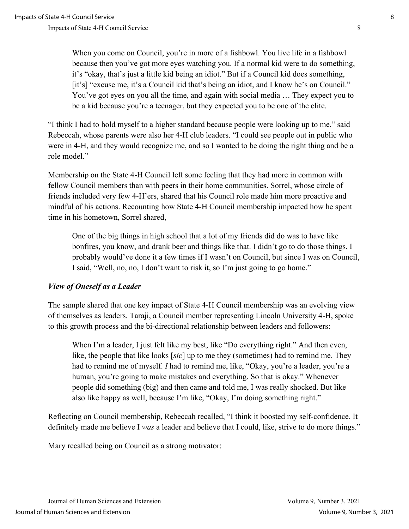When you come on Council, you're in more of a fishbowl. You live life in a fishbowl because then you've got more eyes watching you. If a normal kid were to do something, it's "okay, that's just a little kid being an idiot." But if a Council kid does something, [it's] "excuse me, it's a Council kid that's being an idiot, and I know he's on Council." You've got eyes on you all the time, and again with social media … They expect you to be a kid because you're a teenager, but they expected you to be one of the elite.

"I think I had to hold myself to a higher standard because people were looking up to me," said Rebeccah, whose parents were also her 4-H club leaders. "I could see people out in public who were in 4-H, and they would recognize me, and so I wanted to be doing the right thing and be a role model."

Membership on the State 4-H Council left some feeling that they had more in common with fellow Council members than with peers in their home communities. Sorrel, whose circle of friends included very few 4-H'ers, shared that his Council role made him more proactive and mindful of his actions. Recounting how State 4-H Council membership impacted how he spent time in his hometown, Sorrel shared,

One of the big things in high school that a lot of my friends did do was to have like bonfires, you know, and drank beer and things like that. I didn't go to do those things. I probably would've done it a few times if I wasn't on Council, but since I was on Council, I said, "Well, no, no, I don't want to risk it, so I'm just going to go home."

# *View of Oneself as a Leader*

The sample shared that one key impact of State 4-H Council membership was an evolving view of themselves as leaders. Taraji, a Council member representing Lincoln University 4-H, spoke to this growth process and the bi-directional relationship between leaders and followers:

When I'm a leader, I just felt like my best, like "Do everything right." And then even, like, the people that like looks [*sic*] up to me they (sometimes) had to remind me. They had to remind me of myself. *I* had to remind me, like, "Okay, you're a leader, you're a human, you're going to make mistakes and everything. So that is okay." Whenever people did something (big) and then came and told me, I was really shocked. But like also like happy as well, because I'm like, "Okay, I'm doing something right."

Reflecting on Council membership, Rebeccah recalled, "I think it boosted my self-confidence. It definitely made me believe I *was* a leader and believe that I could, like, strive to do more things."

Mary recalled being on Council as a strong motivator: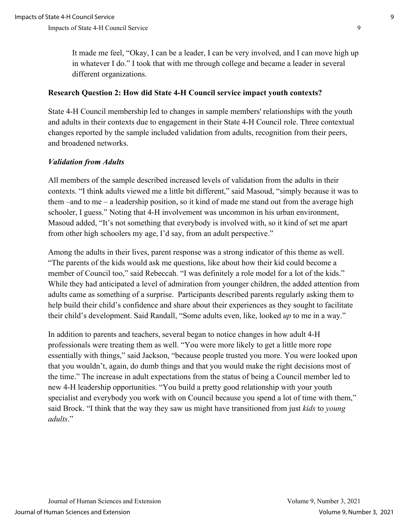It made me feel, "Okay, I can be a leader, I can be very involved, and I can move high up in whatever I do." I took that with me through college and became a leader in several different organizations.

### **Research Question 2: How did State 4-H Council service impact youth contexts?**

State 4-H Council membership led to changes in sample members' relationships with the youth and adults in their contexts due to engagement in their State 4-H Council role. Three contextual changes reported by the sample included validation from adults, recognition from their peers, and broadened networks.

## *Validation from Adults*

All members of the sample described increased levels of validation from the adults in their contexts. "I think adults viewed me a little bit different," said Masoud, "simply because it was to them –and to me – a leadership position, so it kind of made me stand out from the average high schooler, I guess." Noting that 4-H involvement was uncommon in his urban environment, Masoud added, "It's not something that everybody is involved with, so it kind of set me apart from other high schoolers my age, I'd say, from an adult perspective."

Among the adults in their lives, parent response was a strong indicator of this theme as well. "The parents of the kids would ask me questions, like about how their kid could become a member of Council too," said Rebeccah. "I was definitely a role model for a lot of the kids." While they had anticipated a level of admiration from younger children, the added attention from adults came as something of a surprise. Participants described parents regularly asking them to help build their child's confidence and share about their experiences as they sought to facilitate their child's development. Said Randall, "Some adults even, like, looked *up* to me in a way."

In addition to parents and teachers, several began to notice changes in how adult 4-H professionals were treating them as well. "You were more likely to get a little more rope essentially with things," said Jackson, "because people trusted you more. You were looked upon that you wouldn't, again, do dumb things and that you would make the right decisions most of the time." The increase in adult expectations from the status of being a Council member led to new 4-H leadership opportunities. "You build a pretty good relationship with your youth specialist and everybody you work with on Council because you spend a lot of time with them," said Brock. "I think that the way they saw us might have transitioned from just *kids* to *young adults*."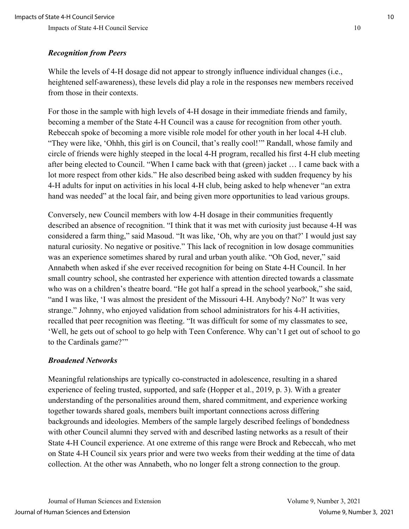# *Recognition from Peers*

While the levels of 4-H dosage did not appear to strongly influence individual changes (i.e., heightened self-awareness), these levels did play a role in the responses new members received from those in their contexts.

For those in the sample with high levels of 4-H dosage in their immediate friends and family, becoming a member of the State 4-H Council was a cause for recognition from other youth. Rebeccah spoke of becoming a more visible role model for other youth in her local 4-H club. "They were like, 'Ohhh, this girl is on Council, that's really cool!'" Randall, whose family and circle of friends were highly steeped in the local 4-H program, recalled his first 4-H club meeting after being elected to Council. "When I came back with that (green) jacket … I came back with a lot more respect from other kids." He also described being asked with sudden frequency by his 4-H adults for input on activities in his local 4-H club, being asked to help whenever "an extra hand was needed" at the local fair, and being given more opportunities to lead various groups.

Conversely, new Council members with low 4-H dosage in their communities frequently described an absence of recognition. "I think that it was met with curiosity just because 4-H was considered a farm thing," said Masoud. "It was like, 'Oh, why are you on that?' I would just say natural curiosity. No negative or positive." This lack of recognition in low dosage communities was an experience sometimes shared by rural and urban youth alike. "Oh God, never," said Annabeth when asked if she ever received recognition for being on State 4-H Council. In her small country school, she contrasted her experience with attention directed towards a classmate who was on a children's theatre board. "He got half a spread in the school yearbook," she said, "and I was like, 'I was almost the president of the Missouri 4-H. Anybody? No?' It was very strange." Johnny, who enjoyed validation from school administrators for his 4-H activities, recalled that peer recognition was fleeting. "It was difficult for some of my classmates to see, 'Well, he gets out of school to go help with Teen Conference. Why can't I get out of school to go to the Cardinals game?'"

### *Broadened Networks*

Meaningful relationships are typically co-constructed in adolescence, resulting in a shared experience of feeling trusted, supported, and safe (Hopper et al., 2019, p. 3). With a greater understanding of the personalities around them, shared commitment, and experience working together towards shared goals, members built important connections across differing backgrounds and ideologies. Members of the sample largely described feelings of bondedness with other Council alumni they served with and described lasting networks as a result of their State 4-H Council experience. At one extreme of this range were Brock and Rebeccah, who met on State 4-H Council six years prior and were two weeks from their wedding at the time of data collection. At the other was Annabeth, who no longer felt a strong connection to the group.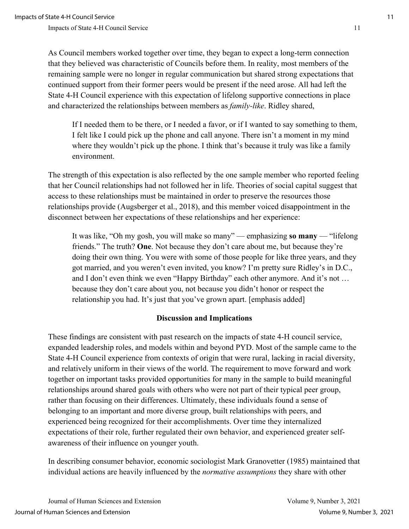As Council members worked together over time, they began to expect a long-term connection that they believed was characteristic of Councils before them. In reality, most members of the remaining sample were no longer in regular communication but shared strong expectations that continued support from their former peers would be present if the need arose. All had left the State 4-H Council experience with this expectation of lifelong supportive connections in place and characterized the relationships between members as *family-like*. Ridley shared,

If I needed them to be there, or I needed a favor, or if I wanted to say something to them, I felt like I could pick up the phone and call anyone. There isn't a moment in my mind where they wouldn't pick up the phone. I think that's because it truly was like a family environment.

The strength of this expectation is also reflected by the one sample member who reported feeling that her Council relationships had not followed her in life. Theories of social capital suggest that access to these relationships must be maintained in order to preserve the resources those relationships provide (Augsberger et al., 2018), and this member voiced disappointment in the disconnect between her expectations of these relationships and her experience:

It was like, "Oh my gosh, you will make so many" — emphasizing **so many** — "lifelong friends." The truth? **One**. Not because they don't care about me, but because they're doing their own thing. You were with some of those people for like three years, and they got married, and you weren't even invited, you know? I'm pretty sure Ridley's in D.C., and I don't even think we even "Happy Birthday" each other anymore. And it's not … because they don't care about you, not because you didn't honor or respect the relationship you had. It's just that you've grown apart. [emphasis added]

#### **Discussion and Implications**

These findings are consistent with past research on the impacts of state 4-H council service, expanded leadership roles, and models within and beyond PYD. Most of the sample came to the State 4-H Council experience from contexts of origin that were rural, lacking in racial diversity, and relatively uniform in their views of the world. The requirement to move forward and work together on important tasks provided opportunities for many in the sample to build meaningful relationships around shared goals with others who were not part of their typical peer group, rather than focusing on their differences. Ultimately, these individuals found a sense of belonging to an important and more diverse group, built relationships with peers, and experienced being recognized for their accomplishments. Over time they internalized expectations of their role, further regulated their own behavior, and experienced greater selfawareness of their influence on younger youth.

In describing consumer behavior, economic sociologist Mark Granovetter (1985) maintained that individual actions are heavily influenced by the *normative assumptions* they share with other

Journal of Human Sciences and Extension Volume 9, Number 3, 2021 Journal of Human Sciences and Extension Volume 9, Number 3, 2021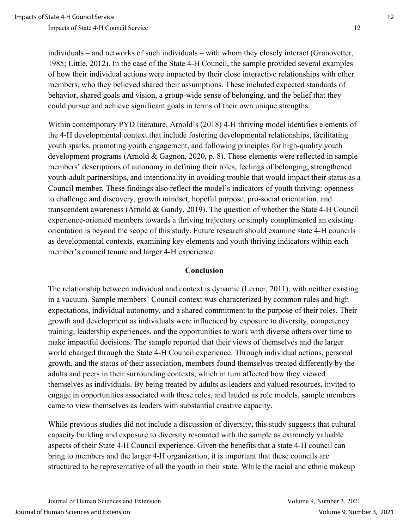individuals – and networks of such individuals – with whom they closely interact (Granovetter, 1985; Little, 2012). In the case of the State 4-H Council, the sample provided several examples of how their individual actions were impacted by their close interactive relationships with other members, who they believed shared their assumptions. These included expected standards of behavior, shared goals and vision, a group-wide sense of belonging, and the belief that they could pursue and achieve significant goals in terms of their own unique strengths.

Within contemporary PYD literature, Arnold's (2018) 4-H thriving model identifies elements of the 4-H developmental context that include fostering developmental relationships, facilitating youth sparks, promoting youth engagement, and following principles for high-quality youth development programs (Arnold & Gagnon, 2020, p. 8). These elements were reflected in sample members' descriptions of autonomy in defining their roles, feelings of belonging, strengthened youth-adult partnerships, and intentionality in avoiding trouble that would impact their status as a Council member. These findings also reflect the model's indicators of youth thriving: openness to challenge and discovery, growth mindset, hopeful purpose, pro-social orientation, and transcendent awareness (Arnold & Gandy, 2019). The question of whether the State 4-H Council experience-oriented members towards a thriving trajectory or simply complimented an existing orientation is beyond the scope of this study. Future research should examine state 4-H councils as developmental contexts, examining key elements and youth thriving indicators within each member's council tenure and larger 4-H experience.

#### **Conclusion**

The relationship between individual and context is dynamic (Lerner, 2011), with neither existing in a vacuum. Sample members' Council context was characterized by common rules and high expectations, individual autonomy, and a shared commitment to the purpose of their roles. Their growth and development as individuals were influenced by exposure to diversity, competency training, leadership experiences, and the opportunities to work with diverse others over time to make impactful decisions. The sample reported that their views of themselves and the larger world changed through the State 4-H Council experience. Through individual actions, personal growth, and the status of their association, members found themselves treated differently by the adults and peers in their surrounding contexts, which in turn affected how they viewed themselves as individuals. By being treated by adults as leaders and valued resources, invited to engage in opportunities associated with these roles, and lauded as role models, sample members came to view themselves as leaders with substantial creative capacity.

While previous studies did not include a discussion of diversity, this study suggests that cultural capacity building and exposure to diversity resonated with the sample as extremely valuable aspects of their State 4-H Council experience. Given the benefits that a state 4-H council can bring to members and the larger 4-H organization, it is important that these councils are structured to be representative of all the youth in their state. While the racial and ethnic makeup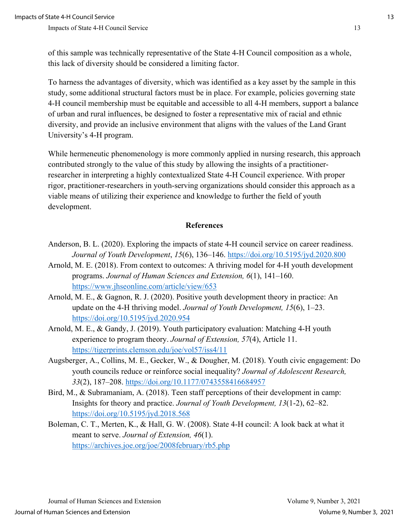of this sample was technically representative of the State 4-H Council composition as a whole, this lack of diversity should be considered a limiting factor.

To harness the advantages of diversity, which was identified as a key asset by the sample in this study, some additional structural factors must be in place. For example, policies governing state 4-H council membership must be equitable and accessible to all 4-H members, support a balance of urban and rural influences, be designed to foster a representative mix of racial and ethnic diversity, and provide an inclusive environment that aligns with the values of the Land Grant University's 4-H program.

While hermeneutic phenomenology is more commonly applied in nursing research, this approach contributed strongly to the value of this study by allowing the insights of a practitionerresearcher in interpreting a highly contextualized State 4-H Council experience. With proper rigor, practitioner-researchers in youth-serving organizations should consider this approach as a viable means of utilizing their experience and knowledge to further the field of youth development.

### **References**

- Anderson, B. L. (2020). Exploring the impacts of state 4-H council service on career readiness. *Journal of Youth Development*, *15*(6), 136–146.<https://doi.org/10.5195/jyd.2020.800>
- Arnold, M. E. (2018). From context to outcomes: A thriving model for 4-H youth development programs. *Journal of Human Sciences and Extension, 6*(1), 141–160. <https://www.jhseonline.com/article/view/653>
- Arnold, M. E., & Gagnon, R. J. (2020). Positive youth development theory in practice: An update on the 4-H thriving model. *Journal of Youth Development, 15*(6), 1–23. <https://doi.org/10.5195/jyd.2020.954>
- Arnold, M. E., & Gandy, J. (2019). Youth participatory evaluation: Matching 4-H youth experience to program theory. *Journal of Extension, 57*(4), Article 11. <https://tigerprints.clemson.edu/joe/vol57/iss4/11>
- Augsberger, A., Collins, M. E., Gecker, W., & Dougher, M. (2018). Youth civic engagement: Do youth councils reduce or reinforce social inequality? *Journal of Adolescent Research, 33*(2), 187–208.<https://doi.org/10.1177/0743558416684957>
- Bird, M., & Subramaniam, A. (2018). Teen staff perceptions of their development in camp: Insights for theory and practice. *Journal of Youth Development, 13*(1-2), 62–82. <https://doi.org/10.5195/jyd.2018.568>
- Boleman, C. T., Merten, K., & Hall, G. W. (2008). State 4-H council: A look back at what it meant to serve. *Journal of Extension, 46*(1). <https://archives.joe.org/joe/2008february/rb5.php>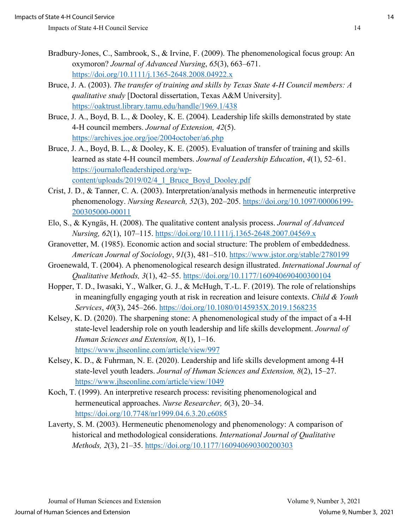- Bradbury‐Jones, C., Sambrook, S., & Irvine, F. (2009). The phenomenological focus group: An oxymoron? *Journal of Advanced Nursing*, *65*(3), 663–671. <https://doi.org/10.1111/j.1365-2648.2008.04922.x>
- Bruce, J. A. (2003). *The transfer of training and skills by Texas State 4-H Council members: A qualitative study* [Doctoral dissertation, Texas A&M University]. <https://oaktrust.library.tamu.edu/handle/1969.1/438>
- Bruce, J. A., Boyd, B. L., & Dooley, K. E. (2004). Leadership life skills demonstrated by state 4-H council members. *Journal of Extension, 42*(5). <https://archives.joe.org/joe/2004october/a6.php>
- Bruce, J. A., Boyd, B. L., & Dooley, K. E. (2005). Evaluation of transfer of training and skills learned as state 4-H council members. *Journal of Leadership Education*, *4*(1), 52–61. [https://journalofleadershiped.org/wp](https://journalofleadershiped.org/wp-content/uploads/2019/02/4_1_Bruce_Boyd_Dooley.pdf)[content/uploads/2019/02/4\\_1\\_Bruce\\_Boyd\\_Dooley.pdf](https://journalofleadershiped.org/wp-content/uploads/2019/02/4_1_Bruce_Boyd_Dooley.pdf)
- Crist, J. D., & Tanner, C. A. (2003). Interpretation/analysis methods in hermeneutic interpretive phenomenology. *Nursing Research, 52*(3), 202–205. [https://doi.org/10.1097/00006199-](https://doi.org/10.1097/00006199-200305000-00011) [200305000-00011](https://doi.org/10.1097/00006199-200305000-00011)
- Elo, S., & Kyngäs, H. (2008). The qualitative content analysis process. *Journal of Advanced Nursing, 62*(1), 107–115.<https://doi.org/10.1111/j.1365-2648.2007.04569.x>
- Granovetter, M. (1985). Economic action and social structure: The problem of embeddedness. *American Journal of Sociology*, *91*(3), 481–510.<https://www.jstor.org/stable/2780199>
- Groenewald, T. (2004). A phenomenological research design illustrated. *International Journal of Qualitative Methods, 3*(1), 42–55.<https://doi.org/10.1177/160940690400300104>
- Hopper, T. D., Iwasaki, Y., Walker, G. J., & McHugh, T.-L. F. (2019). The role of relationships in meaningfully engaging youth at risk in recreation and leisure contexts. *Child & Youth Services*, *40*(3), 245–266.<https://doi.org/10.1080/0145935X.2019.1568235>
- Kelsey, K. D. (2020). The sharpening stone: A phenomenological study of the impact of a 4-H state-level leadership role on youth leadership and life skills development. *Journal of Human Sciences and Extension, 8*(1), 1–16. <https://www.jhseonline.com/article/view/997>
- Kelsey, K. D., & Fuhrman, N. E. (2020). Leadership and life skills development among 4-H state-level youth leaders. *Journal of Human Sciences and Extension, 8*(2), 15–27. <https://www.jhseonline.com/article/view/1049>
- Koch, T. (1999). An interpretive research process: revisiting phenomenological and hermeneutical approaches. *Nurse Researcher, 6*(3), 20–34. <https://doi.org/10.7748/nr1999.04.6.3.20.c6085>
- Laverty, S. M. (2003). Hermeneutic phenomenology and phenomenology: A comparison of historical and methodological considerations. *International Journal of Qualitative Methods, 2*(3), 21–35.<https://doi.org/10.1177/160940690300200303>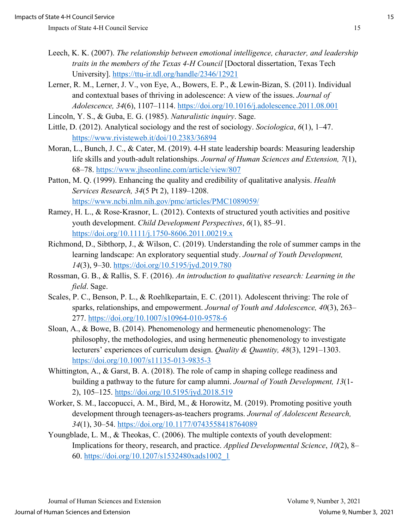- Leech, K. K. (2007). *The relationship between emotional intelligence, character, and leadership traits in the members of the Texas 4-H Council* [Doctoral dissertation, Texas Tech University].<https://ttu-ir.tdl.org/handle/2346/12921>
- Lerner, R. M., Lerner, J. V., von Eye, A., Bowers, E. P., & Lewin-Bizan, S. (2011). Individual and contextual bases of thriving in adolescence: A view of the issues. *Journal of Adolescence, 34*(6), 1107–1114.<https://doi.org/10.1016/j.adolescence.2011.08.001>
- Lincoln, Y. S., & Guba, E. G. (1985). *Naturalistic inquiry*. Sage.
- Little, D. (2012). Analytical sociology and the rest of sociology. *Sociologica*, *6*(1), 1–47. <https://www.rivisteweb.it/doi/10.2383/36894>
- Moran, L., Bunch, J. C., & Cater, M. (2019). 4-H state leadership boards: Measuring leadership life skills and youth-adult relationships. *Journal of Human Sciences and Extension, 7*(1), 68–78.<https://www.jhseonline.com/article/view/807>
- Patton, M. Q. (1999). Enhancing the quality and credibility of qualitative analysis. *Health Services Research, 34*(5 Pt 2), 1189–1208. <https://www.ncbi.nlm.nih.gov/pmc/articles/PMC1089059/>
- Ramey, H. L., & Rose‐Krasnor, L. (2012). Contexts of structured youth activities and positive youth development. *Child Development Perspectives*, *6*(1), 85–91. <https://doi.org/10.1111/j.1750-8606.2011.00219.x>
- Richmond, D., Sibthorp, J., & Wilson, C. (2019). Understanding the role of summer camps in the learning landscape: An exploratory sequential study. *Journal of Youth Development, 14*(3), 9–30.<https://doi.org/10.5195/jyd.2019.780>
- Rossman, G. B., & Rallis, S. F. (2016). *An introduction to qualitative research: Learning in the field*. Sage.
- Scales, P. C., Benson, P. L., & Roehlkepartain, E. C. (2011). Adolescent thriving: The role of sparks, relationships, and empowerment. *Journal of Youth and Adolescence, 40*(3), 263– 277.<https://doi.org/10.1007/s10964-010-9578-6>
- Sloan, A., & Bowe, B. (2014). Phenomenology and hermeneutic phenomenology: The philosophy, the methodologies, and using hermeneutic phenomenology to investigate lecturers' experiences of curriculum design. *Quality & Quantity, 48*(3), 1291–1303. <https://doi.org/10.1007/s11135-013-9835-3>
- Whittington, A., & Garst, B. A. (2018). The role of camp in shaping college readiness and building a pathway to the future for camp alumni. *Journal of Youth Development, 13*(1- 2), 105–125.<https://doi.org/10.5195/jyd.2018.519>
- Worker, S. M., Iaccopucci, A. M., Bird, M., & Horowitz, M. (2019). Promoting positive youth development through teenagers-as-teachers programs. *Journal of Adolescent Research, 34*(1), 30–54. <https://doi.org/10.1177/0743558418764089>
- Youngblade, L. M., & Theokas, C. (2006). The multiple contexts of youth development: Implications for theory, research, and practice. *Applied Developmental Science*, *10*(2), 8– 60. [https://doi.org/10.1207/s1532480xads1002\\_1](https://doi.org/10.1207/s1532480xads1002_1)